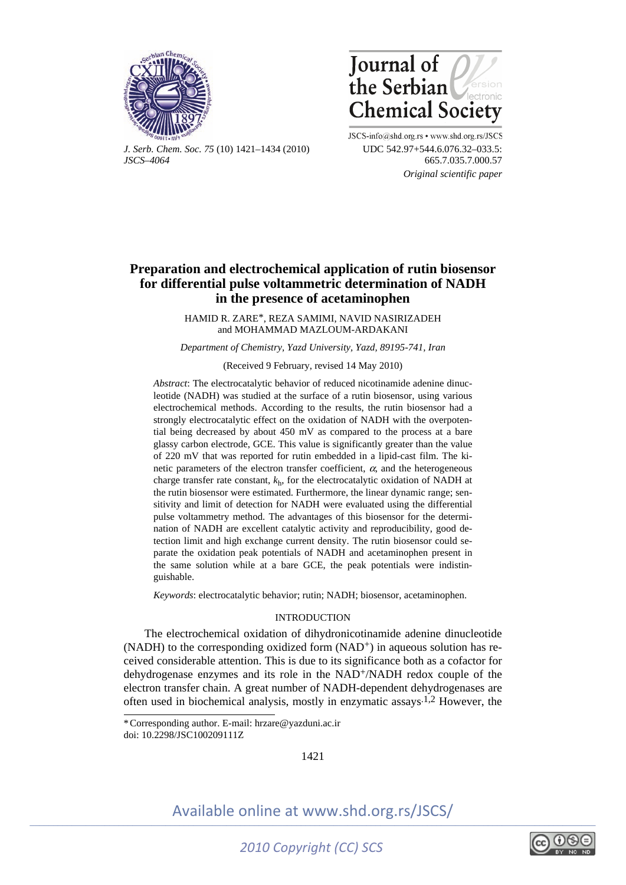



*J. Serb. Chem. Soc. 75* (10) 1421–1434 (2010) UDC 542.97+544.6.076.32–033.5: *JSCS–4064* 665.7.035.7.000.57

JSCS-info@shd.org.rs • www.shd.org.rs/JSCS  *Original scientific paper* 

# **Preparation and electrochemical application of rutin biosensor for differential pulse voltammetric determination of NADH in the presence of acetaminophen**

HAMID R. ZARE\*, REZA SAMIMI, NAVID NASIRIZADEH and MOHAMMAD MAZLOUM-ARDAKANI

*Department of Chemistry, Yazd University, Yazd, 89195-741, Iran* 

### (Received 9 February, revised 14 May 2010)

*Abstract*: The electrocatalytic behavior of reduced nicotinamide adenine dinucleotide (NADH) was studied at the surface of a rutin biosensor, using various electrochemical methods. According to the results, the rutin biosensor had a strongly electrocatalytic effect on the oxidation of NADH with the overpotential being decreased by about 450 mV as compared to the process at a bare glassy carbon electrode, GCE. This value is significantly greater than the value of 220 mV that was reported for rutin embedded in a lipid-cast film. The kinetic parameters of the electron transfer coefficient,  $\alpha$ , and the heterogeneous charge transfer rate constant,  $k<sub>h</sub>$ , for the electrocatalytic oxidation of NADH at the rutin biosensor were estimated. Furthermore, the linear dynamic range; sensitivity and limit of detection for NADH were evaluated using the differential pulse voltammetry method. The advantages of this biosensor for the determination of NADH are excellent catalytic activity and reproducibility, good detection limit and high exchange current density. The rutin biosensor could separate the oxidation peak potentials of NADH and acetaminophen present in the same solution while at a bare GCE, the peak potentials were indistinguishable.

*Keywords*: electrocatalytic behavior; rutin; NADH; biosensor, acetaminophen.

### **INTRODUCTION**

The electrochemical oxidation of dihydronicotinamide adenine dinucleotide  $(NADH)$  to the corresponding oxidized form  $(NAD<sup>+</sup>)$  in aqueous solution has received considerable attention. This is due to its significance both as a cofactor for dehydrogenase enzymes and its role in the NAD+/NADH redox couple of the electron transfer chain. A great number of NADH-dependent dehydrogenases are often used in biochemical analysis, mostly in enzymatic assays.1,2 However, the

1421



<sup>\*</sup> Corresponding author. E-mail: hrzare@yazduni.ac.ir doi: 10.2298/JSC100209111Z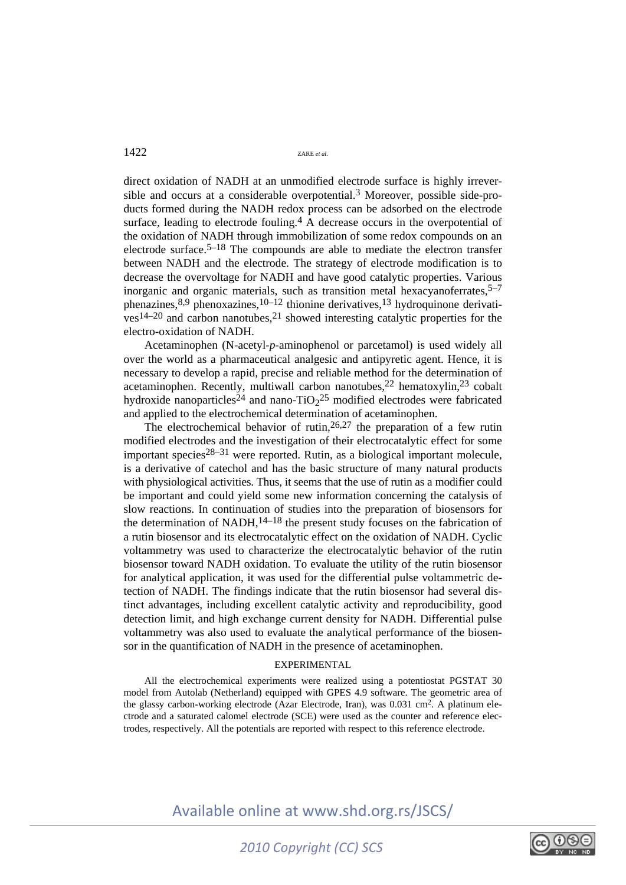direct oxidation of NADH at an unmodified electrode surface is highly irreversible and occurs at a considerable overpotential.3 Moreover, possible side-products formed during the NADH redox process can be adsorbed on the electrode surface, leading to electrode fouling.<sup>4</sup> A decrease occurs in the overpotential of the oxidation of NADH through immobilization of some redox compounds on an electrode surface.<sup>5–18</sup> The compounds are able to mediate the electron transfer between NADH and the electrode. The strategy of electrode modification is to decrease the overvoltage for NADH and have good catalytic properties. Various inorganic and organic materials, such as transition metal hexacyanoferrates,  $5-7$ phenazines, $8,9$  phenoxazines, $10-12$  thionine derivatives, $13$  hydroquinone derivati- $\cos^{14-20}$  and carbon nanotubes,  $\cos^{21}$  showed interesting catalytic properties for the electro-oxidation of NADH.

Acetaminophen (N-acetyl-*p*-aminophenol or parcetamol) is used widely all over the world as a pharmaceutical analgesic and antipyretic agent. Hence, it is necessary to develop a rapid, precise and reliable method for the determination of acetaminophen. Recently, multiwall carbon nanotubes,  $22$  hematoxylin,  $23$  cobalt hydroxide nanoparticles<sup>24</sup> and nano-TiO<sub>2</sub><sup>25</sup> modified electrodes were fabricated and applied to the electrochemical determination of acetaminophen.

The electrochemical behavior of rutin,  $26,27$  the preparation of a few rutin modified electrodes and the investigation of their electrocatalytic effect for some important species<sup>28–31</sup> were reported. Rutin, as a biological important molecule, is a derivative of catechol and has the basic structure of many natural products with physiological activities. Thus, it seems that the use of rutin as a modifier could be important and could yield some new information concerning the catalysis of slow reactions. In continuation of studies into the preparation of biosensors for the determination of NADH, $14-18$  the present study focuses on the fabrication of a rutin biosensor and its electrocatalytic effect on the oxidation of NADH. Cyclic voltammetry was used to characterize the electrocatalytic behavior of the rutin biosensor toward NADH oxidation. To evaluate the utility of the rutin biosensor for analytical application, it was used for the differential pulse voltammetric detection of NADH. The findings indicate that the rutin biosensor had several distinct advantages, including excellent catalytic activity and reproducibility, good detection limit, and high exchange current density for NADH. Differential pulse voltammetry was also used to evaluate the analytical performance of the biosensor in the quantification of NADH in the presence of acetaminophen.

## EXPERIMENTAL

All the electrochemical experiments were realized using a potentiostat PGSTAT 30 model from Autolab (Netherland) equipped with GPES 4.9 software. The geometric area of the glassy carbon-working electrode (Azar Electrode, Iran), was 0.031 cm<sup>2</sup>. A platinum electrode and a saturated calomel electrode (SCE) were used as the counter and reference electrodes, respectively. All the potentials are reported with respect to this reference electrode.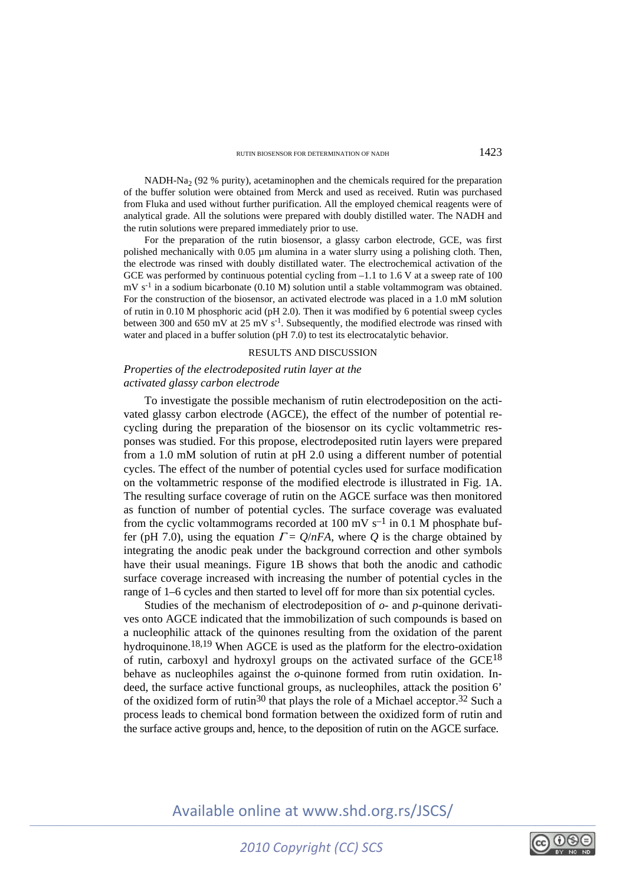NADH-Na<sub>2</sub> (92 % purity), acetaminophen and the chemicals required for the preparation of the buffer solution were obtained from Merck and used as received. Rutin was purchased from Fluka and used without further purification. All the employed chemical reagents were of analytical grade. All the solutions were prepared with doubly distilled water. The NADH and the rutin solutions were prepared immediately prior to use.

For the preparation of the rutin biosensor, a glassy carbon electrode, GCE, was first polished mechanically with 0.05 µm alumina in a water slurry using a polishing cloth. Then, the electrode was rinsed with doubly distillated water. The electrochemical activation of the GCE was performed by continuous potential cycling from –1.1 to 1.6 V at a sweep rate of 100 mV s-1 in a sodium bicarbonate (0.10 M) solution until a stable voltammogram was obtained. For the construction of the biosensor, an activated electrode was placed in a 1.0 mM solution of rutin in 0.10 M phosphoric acid (pH 2.0). Then it was modified by 6 potential sweep cycles between 300 and 650 mV at 25 mV  $s^{-1}$ . Subsequently, the modified electrode was rinsed with water and placed in a buffer solution (pH 7.0) to test its electrocatalytic behavior.

### RESULTS AND DISCUSSION

## *Properties of the electrodeposited rutin layer at the activated glassy carbon electrode*

To investigate the possible mechanism of rutin electrodeposition on the activated glassy carbon electrode (AGCE), the effect of the number of potential recycling during the preparation of the biosensor on its cyclic voltammetric responses was studied. For this propose, electrodeposited rutin layers were prepared from a 1.0 mM solution of rutin at pH 2.0 using a different number of potential cycles. The effect of the number of potential cycles used for surface modification on the voltammetric response of the modified electrode is illustrated in Fig. 1A. The resulting surface coverage of rutin on the AGCE surface was then monitored as function of number of potential cycles. The surface coverage was evaluated from the cyclic voltammograms recorded at 100 mV  $s^{-1}$  in 0.1 M phosphate buffer (pH 7.0), using the equation  $\Gamma = Q/nFA$ , where *Q* is the charge obtained by integrating the anodic peak under the background correction and other symbols have their usual meanings. Figure 1B shows that both the anodic and cathodic surface coverage increased with increasing the number of potential cycles in the range of 1–6 cycles and then started to level off for more than six potential cycles.

Studies of the mechanism of electrodeposition of *o*- and *p*-quinone derivatives onto AGCE indicated that the immobilization of such compounds is based on a nucleophilic attack of the quinones resulting from the oxidation of the parent hydroquinone.18,19 When AGCE is used as the platform for the electro-oxidation of rutin, carboxyl and hydroxyl groups on the activated surface of the GCE18 behave as nucleophiles against the *o*-quinone formed from rutin oxidation. Indeed, the surface active functional groups, as nucleophiles, attack the position 6' of the oxidized form of rutin<sup>30</sup> that plays the role of a Michael acceptor.<sup>32</sup> Such a process leads to chemical bond formation between the oxidized form of rutin and the surface active groups and, hence, to the deposition of rutin on the AGCE surface.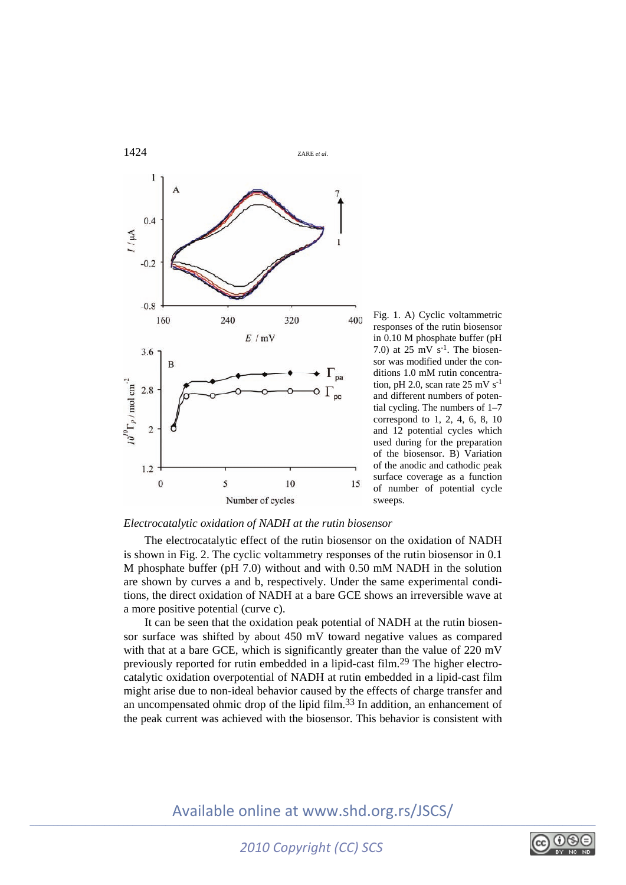

Fig. 1. A) Cyclic voltammetric responses of the rutin biosensor in 0.10 M phosphate buffer (pH 7.0) at  $25 \text{ mV s}^{-1}$ . The biosensor was modified under the conditions 1.0 mM rutin concentration, pH 2.0, scan rate  $25 \text{ mV s}^{-1}$ and different numbers of potential cycling. The numbers of 1–7 correspond to 1, 2, 4, 6, 8, 10 and 12 potential cycles which used during for the preparation of the biosensor. B) Variation of the anodic and cathodic peak surface coverage as a function of number of potential cycle sweeps.

## *Electrocatalytic oxidation of NADH at the rutin biosensor*

The electrocatalytic effect of the rutin biosensor on the oxidation of NADH is shown in Fig. 2. The cyclic voltammetry responses of the rutin biosensor in 0.1 M phosphate buffer (pH 7.0) without and with 0.50 mM NADH in the solution are shown by curves a and b, respectively. Under the same experimental conditions, the direct oxidation of NADH at a bare GCE shows an irreversible wave at a more positive potential (curve c).

It can be seen that the oxidation peak potential of NADH at the rutin biosensor surface was shifted by about 450 mV toward negative values as compared with that at a bare GCE, which is significantly greater than the value of 220 mV previously reported for rutin embedded in a lipid-cast film.29 The higher electrocatalytic oxidation overpotential of NADH at rutin embedded in a lipid-cast film might arise due to non-ideal behavior caused by the effects of charge transfer and an uncompensated ohmic drop of the lipid film.33 In addition, an enhancement of the peak current was achieved with the biosensor. This behavior is consistent with

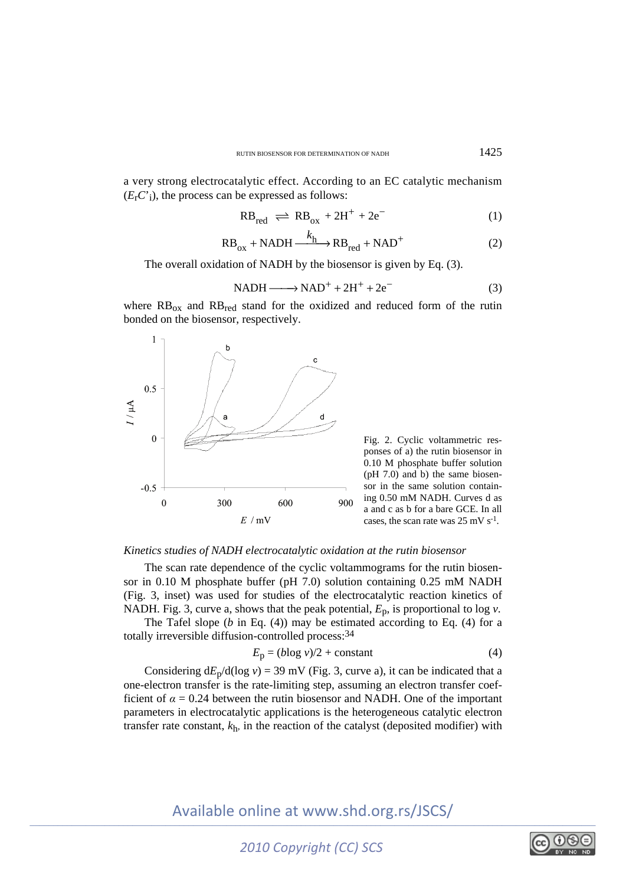a very strong electrocatalytic effect. According to an EC catalytic mechanism  $(E<sub>r</sub>C<sup>i</sup>)$ , the process can be expressed as follows:

$$
RB_{red} \rightleftharpoons RB_{ox} + 2H^{+} + 2e^{-}
$$
 (1)

$$
RB_{ox} + NADH \xrightarrow{k_h} RB_{red} + NAD^+
$$
 (2)

The overall oxidation of NADH by the biosensor is given by Eq. (3).

$$
NADH \longrightarrow NAD^{+} + 2H^{+} + 2e^{-}
$$
 (3)

where  $RB_{ox}$  and  $RB_{red}$  stand for the oxidized and reduced form of the rutin bonded on the biosensor, respectively.



Fig. 2. Cyclic voltammetric responses of a) the rutin biosensor in 0.10 M phosphate buffer solution (pH 7.0) and b) the same biosensor in the same solution containing 0.50 mM NADH. Curves d as a and c as b for a bare GCE. In all cases, the scan rate was  $25 \text{ mV s}^{-1}$ .

### *Kinetics studies of NADH electrocatalytic oxidation at the rutin biosensor*

The scan rate dependence of the cyclic voltammograms for the rutin biosensor in 0.10 M phosphate buffer (pH 7.0) solution containing 0.25 mM NADH (Fig. 3, inset) was used for studies of the electrocatalytic reaction kinetics of NADH. Fig. 3, curve a, shows that the peak potential,  $E_p$ , is proportional to log  $\nu$ .

The Tafel slope (*b* in Eq. (4)) may be estimated according to Eq. (4) for a totally irreversible diffusion-controlled process: 34

$$
E_p = (b \log v)/2 + \text{constant} \tag{4}
$$

Considering  $dE_p/d(\log v) = 39$  mV (Fig. 3, curve a), it can be indicated that a one-electron transfer is the rate-limiting step, assuming an electron transfer coefficient of  $\alpha = 0.24$  between the rutin biosensor and NADH. One of the important parameters in electrocatalytic applications is the heterogeneous catalytic electron transfer rate constant,  $k<sub>h</sub>$ , in the reaction of the catalyst (deposited modifier) with

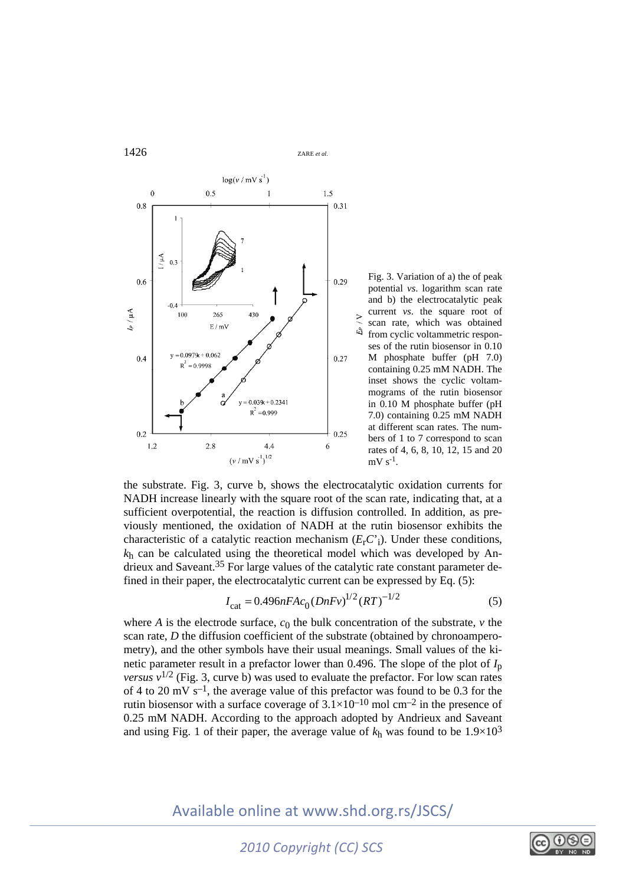

Fig. 3. Variation of a) the of peak potential *vs*. logarithm scan rate and b) the electrocatalytic peak current *vs*. the square root of scan rate, which was obtained from cyclic voltammetric responses of the rutin biosensor in 0.10 M phosphate buffer (pH 7.0) containing 0.25 mM NADH. The inset shows the cyclic voltammograms of the rutin biosensor in 0.10 M phosphate buffer (pH 7.0) containing 0.25 mM NADH at different scan rates. The numbers of 1 to 7 correspond to scan rates of 4, 6, 8, 10, 12, 15 and 20  $mV s^{-1}$ .

the substrate. Fig. 3, curve b, shows the electrocatalytic oxidation currents for NADH increase linearly with the square root of the scan rate, indicating that, at a sufficient overpotential, the reaction is diffusion controlled. In addition, as previously mentioned, the oxidation of NADH at the rutin biosensor exhibits the characteristic of a catalytic reaction mechanism  $(E<sub>r</sub>C<sub>i</sub>)$ . Under these conditions, *k*h can be calculated using the theoretical model which was developed by Andrieux and Saveant.35 For large values of the catalytic rate constant parameter defined in their paper, the electrocatalytic current can be expressed by Eq. (5):

$$
I_{\rm cat} = 0.496nFAc_0(DnFv)^{1/2}(RT)^{-1/2}
$$
 (5)

where *A* is the electrode surface,  $c_0$  the bulk concentration of the substrate,  $\nu$  the scan rate, *D* the diffusion coefficient of the substrate (obtained by chronoamperometry), and the other symbols have their usual meanings. Small values of the kinetic parameter result in a prefactor lower than 0.496. The slope of the plot of  $I<sub>p</sub>$ *versus*  $v^{1/2}$  (Fig. 3, curve b) was used to evaluate the prefactor. For low scan rates of 4 to 20 mV s<sup>-1</sup>, the average value of this prefactor was found to be 0.3 for the rutin biosensor with a surface coverage of  $3.1 \times 10^{-10}$  mol cm<sup>-2</sup> in the presence of 0.25 mM NADH. According to the approach adopted by Andrieux and Saveant and using Fig. 1 of their paper, the average value of  $k_h$  was found to be  $1.9 \times 10^3$ 

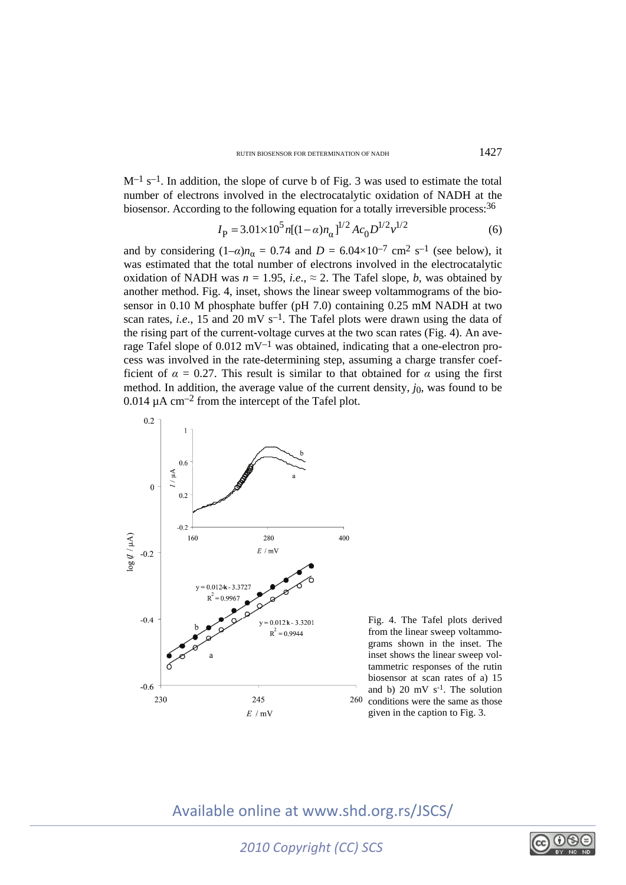$M^{-1}$  s<sup>-1</sup>. In addition, the slope of curve b of Fig. 3 was used to estimate the total number of electrons involved in the electrocatalytic oxidation of NADH at the biosensor. According to the following equation for a totally irreversible process:<sup>36</sup>

$$
I_{\rm P} = 3.01 \times 10^5 n [(1 - \alpha) n_{\alpha}]^{1/2} A c_0 D^{1/2} v^{1/2}
$$
 (6)

and by considering  $(1-\alpha)n_{\alpha} = 0.74$  and  $D = 6.04 \times 10^{-7}$  cm<sup>2</sup> s<sup>-1</sup> (see below), it was estimated that the total number of electrons involved in the electrocatalytic oxidation of NADH was  $n = 1.95$ , *i.e.*,  $\approx 2$ . The Tafel slope, *b*, was obtained by another method. Fig. 4, inset, shows the linear sweep voltammograms of the biosensor in 0.10 M phosphate buffer (pH 7.0) containing 0.25 mM NADH at two scan rates, *i.e.*, 15 and 20 mV  $s^{-1}$ . The Tafel plots were drawn using the data of the rising part of the current-voltage curves at the two scan rates (Fig. 4). An average Tafel slope of  $0.012 \text{ mV}^{-1}$  was obtained, indicating that a one-electron process was involved in the rate-determining step, assuming a charge transfer coefficient of  $\alpha = 0.27$ . This result is similar to that obtained for  $\alpha$  using the first method. In addition, the average value of the current density,  $j_0$ , was found to be  $0.014 \mu A \text{ cm}^{-2}$  from the intercept of the Tafel plot.



Fig. 4. The Tafel plots derived from the linear sweep voltammograms shown in the inset. The inset shows the linear sweep voltammetric responses of the rutin biosensor at scan rates of a) 15 and b) 20 mV  $s^{-1}$ . The solution  $260$  conditions were the same as those given in the caption to Fig. 3.

# Available online at www.shd.org.rs/JSCS/

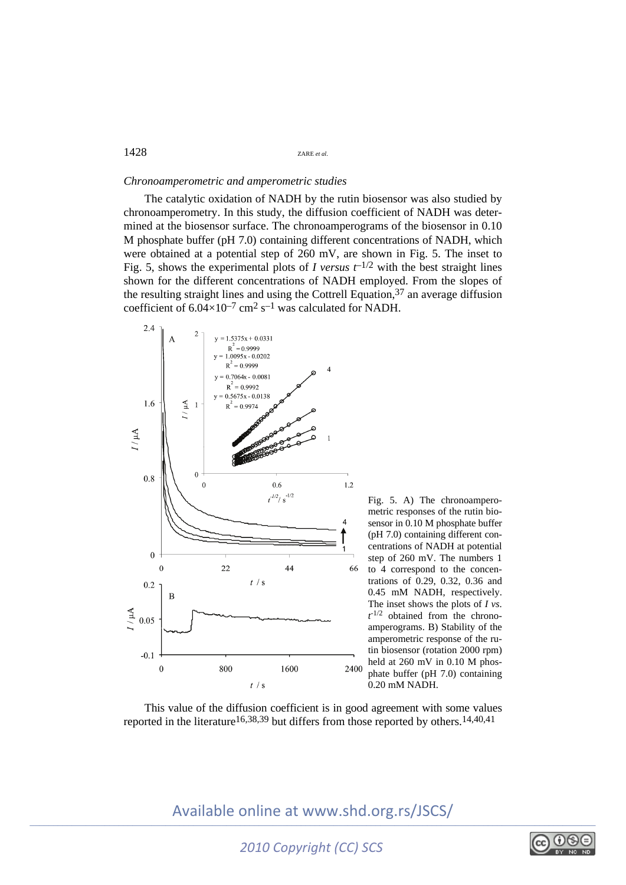### *Chronoamperometric and amperometric studies*

The catalytic oxidation of NADH by the rutin biosensor was also studied by chronoamperometry. In this study, the diffusion coefficient of NADH was determined at the biosensor surface. The chronoamperograms of the biosensor in 0.10 M phosphate buffer (pH 7.0) containing different concentrations of NADH, which were obtained at a potential step of 260 mV, are shown in Fig. 5. The inset to Fig. 5, shows the experimental plots of *I* versus  $t^{-1/2}$  with the best straight lines shown for the different concentrations of NADH employed. From the slopes of the resulting straight lines and using the Cottrell Equation,  $37$  an average diffusion coefficient of  $6.04 \times 10^{-7}$  cm<sup>2</sup> s<sup>-1</sup> was calculated for NADH.



Fig. 5. A) The chronoamperometric responses of the rutin biosensor in 0.10 M phosphate buffer (pH 7.0) containing different concentrations of NADH at potential step of 260 mV. The numbers 1 to 4 correspond to the concentrations of 0.29, 0.32, 0.36 and 0.45 mM NADH, respectively. The inset shows the plots of *I vs*.  $t^{-1/2}$  obtained from the chronoamperograms. B) Stability of the amperometric response of the rutin biosensor (rotation 2000 rpm) held at 260 mV in 0.10 M phosphate buffer (pH 7.0) containing 0.20 mM NADH.

This value of the diffusion coefficient is in good agreement with some values reported in the literature<sup>16,38,39</sup> but differs from those reported by others.<sup>14,40,41</sup>

# Available online at www.shd.org.rs/JSCS/

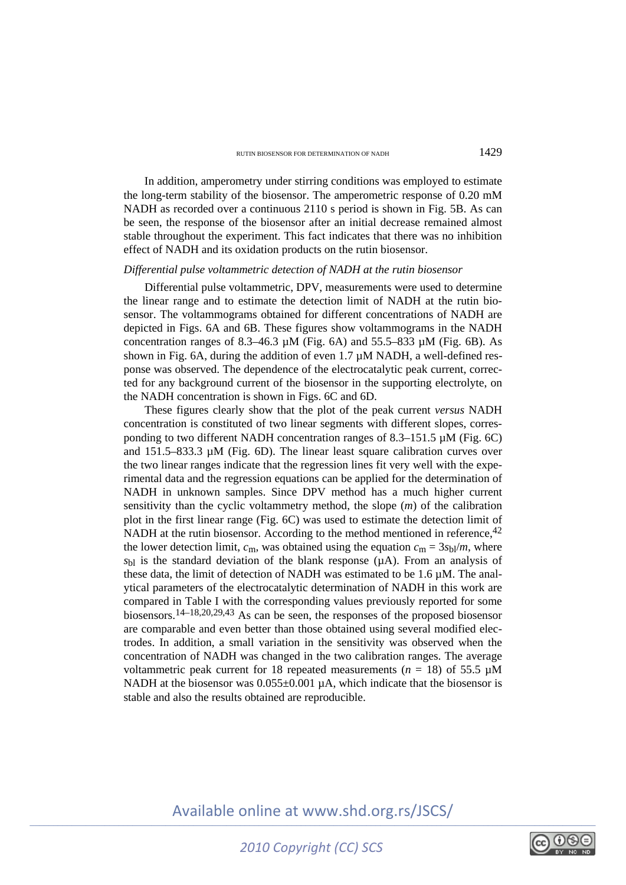In addition, amperometry under stirring conditions was employed to estimate the long-term stability of the biosensor. The amperometric response of 0.20 mM NADH as recorded over a continuous 2110 s period is shown in Fig. 5B. As can be seen, the response of the biosensor after an initial decrease remained almost stable throughout the experiment. This fact indicates that there was no inhibition effect of NADH and its oxidation products on the rutin biosensor.

### *Differential pulse voltammetric detection of NADH at the rutin biosensor*

Differential pulse voltammetric, DPV, measurements were used to determine the linear range and to estimate the detection limit of NADH at the rutin biosensor. The voltammograms obtained for different concentrations of NADH are depicted in Figs. 6A and 6B. These figures show voltammograms in the NADH concentration ranges of 8.3–46.3  $\mu$ M (Fig. 6A) and 55.5–833  $\mu$ M (Fig. 6B). As shown in Fig. 6A, during the addition of even 1.7  $\mu$ M NADH, a well-defined response was observed. The dependence of the electrocatalytic peak current, corrected for any background current of the biosensor in the supporting electrolyte, on the NADH concentration is shown in Figs. 6C and 6D.

These figures clearly show that the plot of the peak current *versus* NADH concentration is constituted of two linear segments with different slopes, corresponding to two different NADH concentration ranges of 8.3–151.5  $\mu$ M (Fig. 6C) and 151.5–833.3 µM (Fig. 6D). The linear least square calibration curves over the two linear ranges indicate that the regression lines fit very well with the experimental data and the regression equations can be applied for the determination of NADH in unknown samples. Since DPV method has a much higher current sensitivity than the cyclic voltammetry method, the slope (*m*) of the calibration plot in the first linear range (Fig. 6C) was used to estimate the detection limit of NADH at the rutin biosensor. According to the method mentioned in reference,  $42$ the lower detection limit,  $c_m$ , was obtained using the equation  $c_m = 3s_b/m$ , where  $s<sub>bl</sub>$  is the standard deviation of the blank response ( $\mu$ A). From an analysis of these data, the limit of detection of NADH was estimated to be  $1.6 \mu M$ . The analytical parameters of the electrocatalytic determination of NADH in this work are compared in Table I with the corresponding values previously reported for some biosensors.14–18,20,29,43 As can be seen, the responses of the proposed biosensor are comparable and even better than those obtained using several modified electrodes. In addition, a small variation in the sensitivity was observed when the concentration of NADH was changed in the two calibration ranges. The average voltammetric peak current for 18 repeated measurements ( $n = 18$ ) of 55.5  $\mu$ M NADH at the biosensor was  $0.055\pm0.001 \mu$ A, which indicate that the biosensor is stable and also the results obtained are reproducible.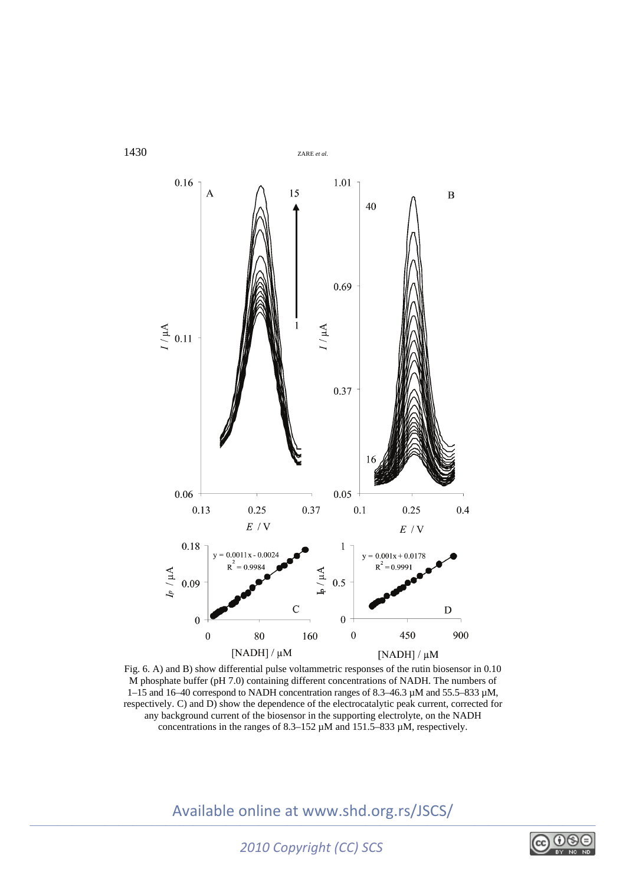

Fig. 6. A) and B) show differential pulse voltammetric responses of the rutin biosensor in 0.10 M phosphate buffer (pH 7.0) containing different concentrations of NADH. The numbers of 1–15 and 16–40 correspond to NADH concentration ranges of 8.3–46.3  $\mu$ M and 55.5–833  $\mu$ M, respectively. C) and D) show the dependence of the electrocatalytic peak current, corrected for any background current of the biosensor in the supporting electrolyte, on the NADH concentrations in the ranges of 8.3–152 µM and 151.5–833 µM, respectively.

Available online at www.shd.org.rs/JSCS/

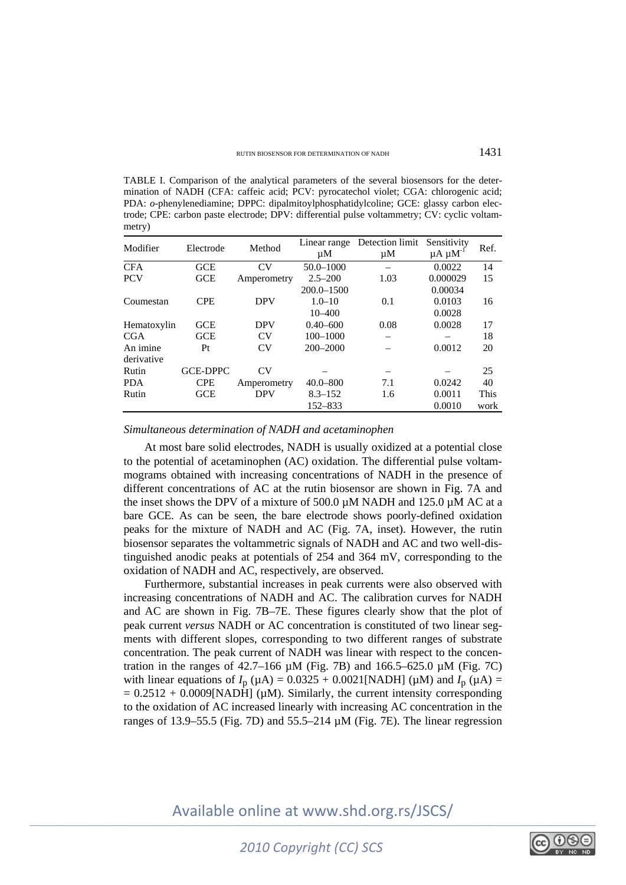TABLE I. Comparison of the analytical parameters of the several biosensors for the determination of NADH (CFA: caffeic acid; PCV: pyrocatechol violet; CGA: chlorogenic acid; PDA: *o*-phenylenediamine; DPPC: dipalmitoylphosphatidylcoline; GCE: glassy carbon electrode; CPE: carbon paste electrode; DPV: differential pulse voltammetry; CV: cyclic voltammetry)

| Modifier    | Electrode       | Method      | Linear range   | Detection limit | Sensitivity        | Ref. |
|-------------|-----------------|-------------|----------------|-----------------|--------------------|------|
|             |                 |             | μM             | $\mu$ M         | $\mu A \mu M^{-1}$ |      |
| <b>CFA</b>  | <b>GCE</b>      | CV          | $50.0 - 1000$  |                 | 0.0022             | 14   |
| <b>PCV</b>  | <b>GCE</b>      | Amperometry | $2.5 - 200$    | 1.03            | 0.000029           | 15   |
|             |                 |             | $200.0 - 1500$ |                 | 0.00034            |      |
| Coumestan   | <b>CPE</b>      | <b>DPV</b>  | $1.0 - 10$     | 0.1             | 0.0103             | 16   |
|             |                 |             | $10 - 400$     |                 | 0.0028             |      |
| Hematoxylin | <b>GCE</b>      | <b>DPV</b>  | $0.40 - 600$   | 0.08            | 0.0028             | 17   |
| <b>CGA</b>  | GCE             | CV          | $100 - 1000$   |                 |                    | 18   |
| An imine    | Pt              | CV          | $200 - 2000$   |                 | 0.0012             | 20   |
| derivative  |                 |             |                |                 |                    |      |
| Rutin       | <b>GCE-DPPC</b> | <b>CV</b>   |                |                 |                    | 25   |
| <b>PDA</b>  | <b>CPE</b>      | Amperometry | $40.0 - 800$   | 7.1             | 0.0242             | 40   |
| Rutin       | <b>GCE</b>      | <b>DPV</b>  | $8.3 - 152$    | 1.6             | 0.0011             | This |
|             |                 |             | 152-833        |                 | 0.0010             | work |

### *Simultaneous determination of NADH and acetaminophen*

At most bare solid electrodes, NADH is usually oxidized at a potential close to the potential of acetaminophen (AC) oxidation. The differential pulse voltammograms obtained with increasing concentrations of NADH in the presence of different concentrations of AC at the rutin biosensor are shown in Fig. 7A and the inset shows the DPV of a mixture of 500.0  $\mu$ M NADH and 125.0  $\mu$ M AC at a bare GCE. As can be seen, the bare electrode shows poorly-defined oxidation peaks for the mixture of NADH and AC (Fig. 7A, inset). However, the rutin biosensor separates the voltammetric signals of NADH and AC and two well-distinguished anodic peaks at potentials of 254 and 364 mV, corresponding to the oxidation of NADH and AC, respectively, are observed.

Furthermore, substantial increases in peak currents were also observed with increasing concentrations of NADH and AC. The calibration curves for NADH and AC are shown in Fig. 7B–7E. These figures clearly show that the plot of peak current *versus* NADH or AC concentration is constituted of two linear segments with different slopes, corresponding to two different ranges of substrate concentration. The peak current of NADH was linear with respect to the concentration in the ranges of  $42.7-166 \mu M$  (Fig. 7B) and  $166.5-625.0 \mu M$  (Fig. 7C) with linear equations of  $I_p (\mu A) = 0.0325 + 0.0021$ [NADH] ( $\mu$ M) and  $I_p (\mu A) =$  $= 0.2512 + 0.0009$ [NADH] ( $\mu$ M). Similarly, the current intensity corresponding to the oxidation of AC increased linearly with increasing AC concentration in the ranges of 13.9–55.5 (Fig. 7D) and 55.5–214 µM (Fig. 7E). The linear regression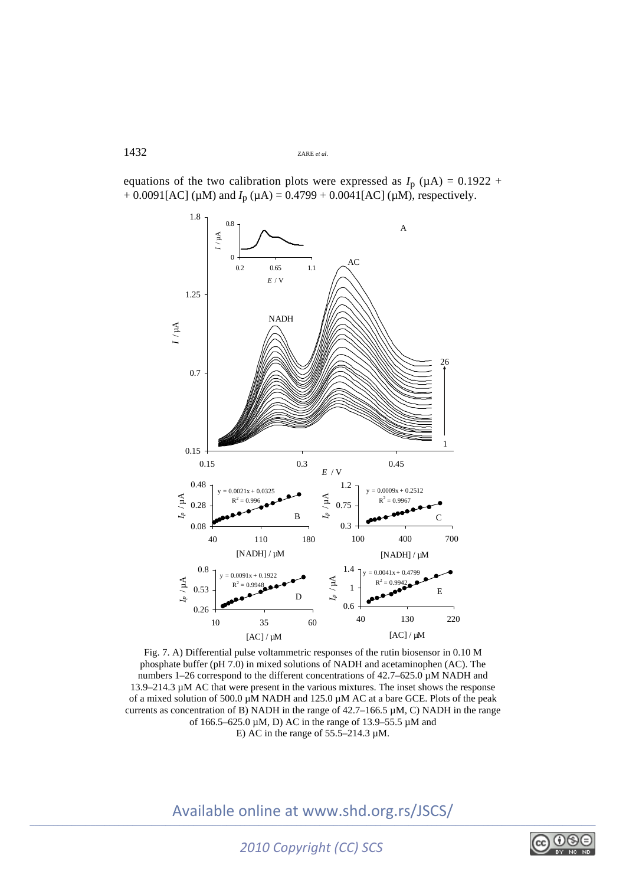

equations of the two calibration plots were expressed as  $I_p$  ( $\mu$ A) = 0.1922 +  $+ 0.0091[AC]$  ( $\mu$ M) and  $I_p$  ( $\mu$ A) = 0.4799 + 0.0041[AC] ( $\mu$ M), respectively.

Fig. 7. A) Differential pulse voltammetric responses of the rutin biosensor in 0.10 M phosphate buffer (pH 7.0) in mixed solutions of NADH and acetaminophen (AC). The numbers 1–26 correspond to the different concentrations of 42.7–625.0 µM NADH and 13.9–214.3 µM AC that were present in the various mixtures. The inset shows the response of a mixed solution of 500.0 µM NADH and 125.0 µM AC at a bare GCE. Plots of the peak currents as concentration of B) NADH in the range of  $42.7-166.5 \mu M$ , C) NADH in the range of 166.5–625.0 µM, D) AC in the range of 13.9–55.5 µM and E) AC in the range of  $55.5-214.3 \mu M$ .

Available online at www.shd.org.rs/JSCS/

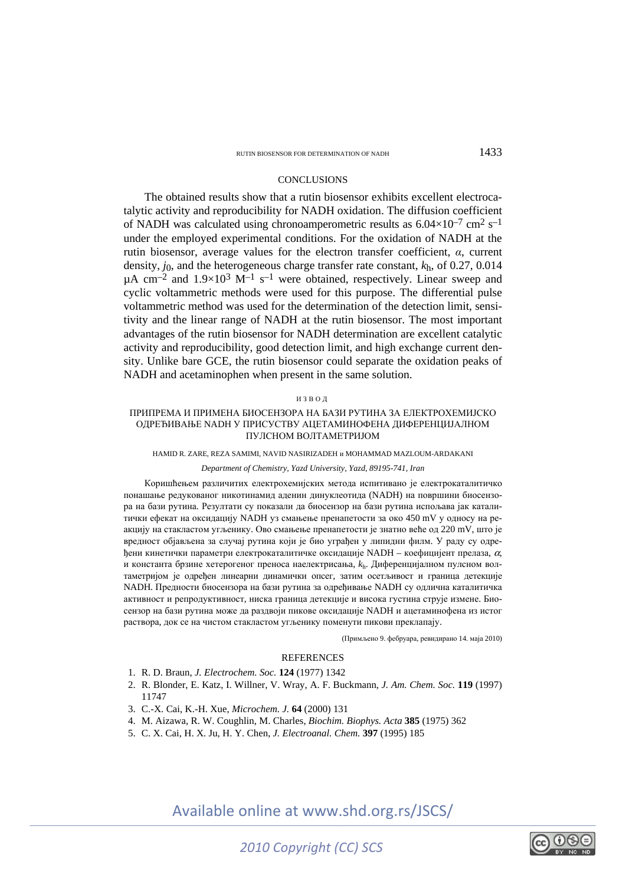### **CONCLUSIONS**

The obtained results show that a rutin biosensor exhibits excellent electrocatalytic activity and reproducibility for NADH oxidation. The diffusion coefficient of NADH was calculated using chronoamperometric results as  $6.04\times10^{-7}$  cm<sup>2</sup> s<sup>-1</sup> under the employed experimental conditions. For the oxidation of NADH at the rutin biosensor, average values for the electron transfer coefficient, *α*, current density, *j*0, and the heterogeneous charge transfer rate constant, *k*h, of 0.27, 0.014  $\mu$ A cm<sup>-2</sup> and 1.9×10<sup>3</sup> M<sup>-1</sup> s<sup>-1</sup> were obtained, respectively. Linear sweep and cyclic voltammetric methods were used for this purpose. The differential pulse voltammetric method was used for the determination of the detection limit, sensitivity and the linear range of NADH at the rutin biosensor. The most important advantages of the rutin biosensor for NADH determination are excellent catalytic activity and reproducibility, good detection limit, and high exchange current density. Unlike bare GCE, the rutin biosensor could separate the oxidation peaks of NADH and acetaminophen when present in the same solution.

#### ИЗВОД

### ПРИПРЕМА И ПРИМЕНА БИОСЕНЗОРА НА БАЗИ РУТИНА ЗА ЕЛЕКТРОХЕМИЈСКО ОДРЕЂИВАЊЕ NADH У ПРИСУСТВУ АЦЕТАМИНОФЕНА ДИФЕРЕНЦИЈАЛНОМ ПУЛСНОМ ВОЛТАМЕТРИЈОМ

#### HAMID R. ZARE, REZA SAMIMI, NAVID NASIRIZADEH и MOHAMMAD MAZLOUM-ARDAKANI

### *Department of Chemistry, Yazd University, Yazd, 89195-741, Iran*

Коришћењем различитих електрохемијских метода испитивано је електрокаталитичко понашање редукованог никотинамид аденин динуклеотида (NADH) на површини биосензора на бази рутина. Резултати су показали да биосензор на бази рутина испољава јак каталитички ефекат на оксидацију NADH уз смањење пренапетости за око 450 mV у односу на реакцију на стакластом угљенику. Ово смањење пренапетости је знатно веће од 220 mV, што је вредност објављена за случај рутина који је био уграђен у липидни филм. У раду су одређени кинетички параметри електрокаталитичке оксидације NADH – коефицијент прелаза,  $\alpha$ , и константа брзине хетерогеног преноса наелектрисања, *k*h. Дифeренцијалном пулсном волтаметријом је одређен линеарни динамички опсег, затим осетљивост и граница детекције NADH. Предности биосензора на бази рутина за одређивање NADH су одлична каталитичка активност и репродуктивност, ниска граница детекције и висока густина струје измене. Биосензор на бази рутина може да раздвоји пикове оксидације NADH и ацетаминофена из истог раствора, док се на чистом стакластом угљенику поменути пикови преклапају.

(Примљено 9. фебруара, ревидирано 14. маја 2010)

#### REFERENCES

- 1. R. D. Braun, *J. Electrochem. Soc.* **124** (1977) 1342
- 2. R. Blonder, E. Katz, I. Willner, V. Wray, A. F. Buckmann, *J. Am. Chem. Soc.* **119** (1997) 11747
- 3. C.-X. Cai, K.-H. Xue, *Microchem. J.* **64** (2000) 131
- 4. M. Aizawa, R. W. Coughlin, M. Charles, *Biochim. Biophys. Acta* **385** (1975) 362
- 5. C. X. Cai, H. X. Ju, H. Y. Chen, *J. Electroanal. Chem.* **397** (1995) 185